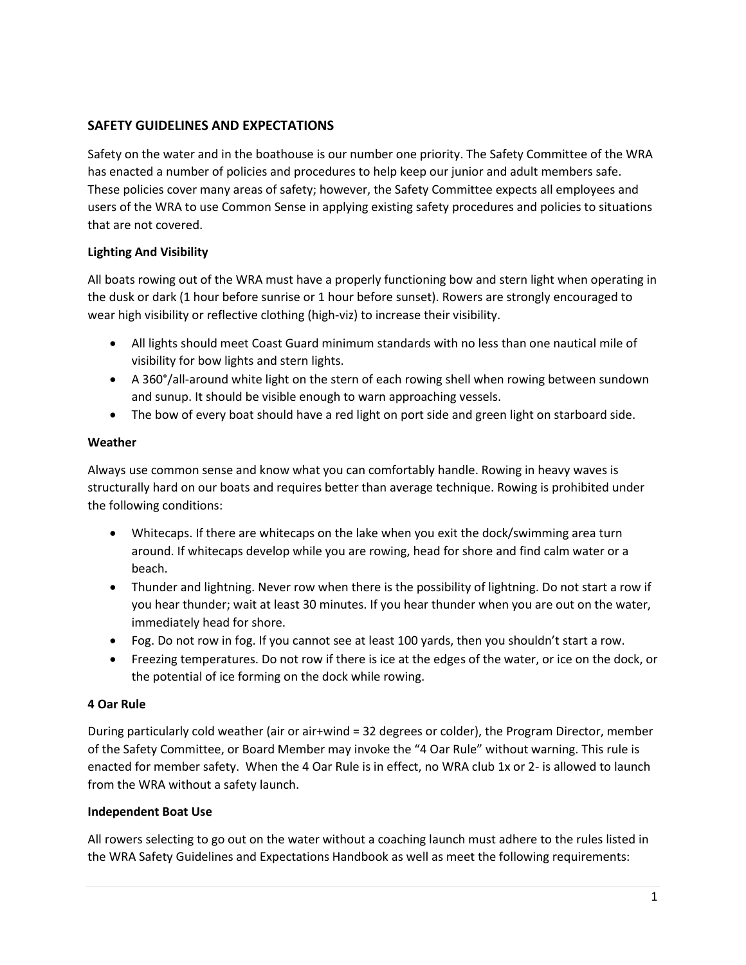# **SAFETY GUIDELINES AND EXPECTATIONS**

Safety on the water and in the boathouse is our number one priority. The Safety Committee of the WRA has enacted a number of policies and procedures to help keep our junior and adult members safe. These policies cover many areas of safety; however, the Safety Committee expects all employees and users of the WRA to use Common Sense in applying existing safety procedures and policies to situations that are not covered.

## **Lighting And Visibility**

All boats rowing out of the WRA must have a properly functioning bow and stern light when operating in the dusk or dark (1 hour before sunrise or 1 hour before sunset). Rowers are strongly encouraged to wear high visibility or reflective clothing (high-viz) to increase their visibility.

- All lights should meet Coast Guard minimum standards with no less than one nautical mile of visibility for bow lights and stern lights.
- A 360°/all-around white light on the stern of each rowing shell when rowing between sundown and sunup. It should be visible enough to warn approaching vessels.
- The bow of every boat should have a red light on port side and green light on starboard side.

## **Weather**

Always use common sense and know what you can comfortably handle. Rowing in heavy waves is structurally hard on our boats and requires better than average technique. Rowing is prohibited under the following conditions:

- Whitecaps. If there are whitecaps on the lake when you exit the dock/swimming area turn around. If whitecaps develop while you are rowing, head for shore and find calm water or a beach.
- Thunder and lightning. Never row when there is the possibility of lightning. Do not start a row if you hear thunder; wait at least 30 minutes. If you hear thunder when you are out on the water, immediately head for shore.
- Fog. Do not row in fog. If you cannot see at least 100 yards, then you shouldn't start a row.
- Freezing temperatures. Do not row if there is ice at the edges of the water, or ice on the dock, or the potential of ice forming on the dock while rowing.

## **4 Oar Rule**

During particularly cold weather (air or air+wind = 32 degrees or colder), the Program Director, member of the Safety Committee, or Board Member may invoke the "4 Oar Rule" without warning. This rule is enacted for member safety. When the 4 Oar Rule is in effect, no WRA club 1x or 2- is allowed to launch from the WRA without a safety launch.

## **Independent Boat Use**

All rowers selecting to go out on the water without a coaching launch must adhere to the rules listed in the WRA Safety Guidelines and Expectations Handbook as well as meet the following requirements: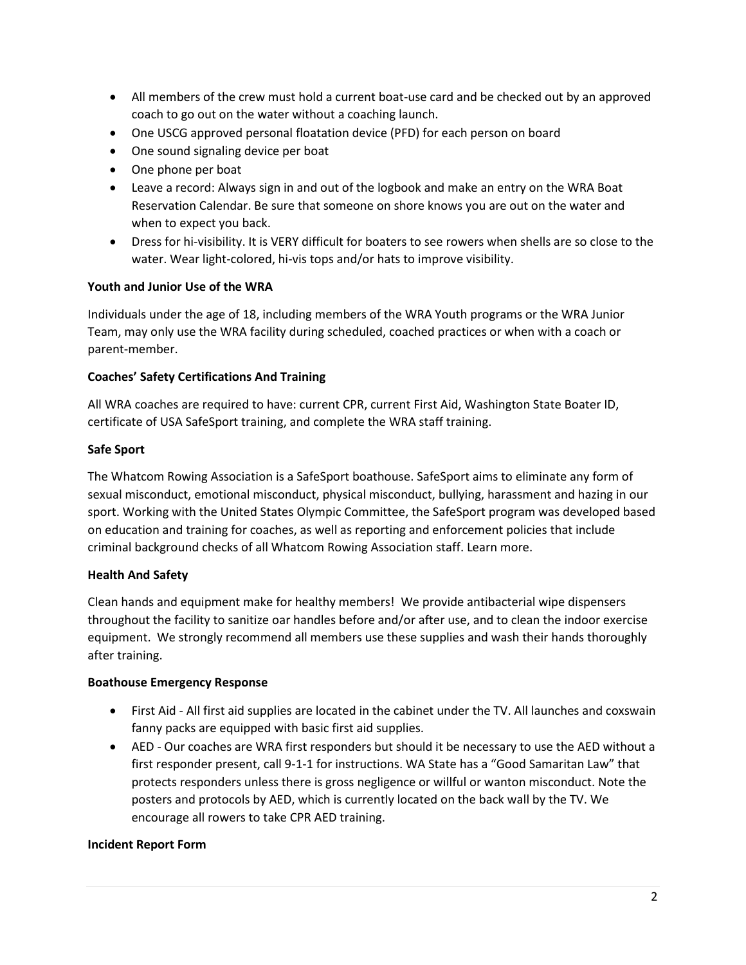- All members of the crew must hold a current boat-use card and be checked out by an approved coach to go out on the water without a coaching launch.
- One USCG approved personal floatation device (PFD) for each person on board
- One sound signaling device per boat
- One phone per boat
- Leave a record: Always sign in and out of the logbook and make an entry on the WRA Boat Reservation Calendar. Be sure that someone on shore knows you are out on the water and when to expect you back.
- Dress for hi-visibility. It is VERY difficult for boaters to see rowers when shells are so close to the water. Wear light-colored, hi-vis tops and/or hats to improve visibility.

### **Youth and Junior Use of the WRA**

Individuals under the age of 18, including members of the WRA Youth programs or the WRA Junior Team, may only use the WRA facility during scheduled, coached practices or when with a coach or parent-member.

### **Coaches' Safety Certifications And Training**

All WRA coaches are required to have: current CPR, current First Aid, Washington State Boater ID, certificate of USA SafeSport training, and complete the WRA staff training.

### **Safe Sport**

The Whatcom Rowing Association is a SafeSport boathouse. SafeSport aims to eliminate any form of sexual misconduct, emotional misconduct, physical misconduct, bullying, harassment and hazing in our sport. Working with the United States Olympic Committee, the SafeSport program was developed based on education and training for coaches, as well as reporting and enforcement policies that include criminal background checks of all Whatcom Rowing Association staff. Learn more.

#### **Health And Safety**

Clean hands and equipment make for healthy members! We provide antibacterial wipe dispensers throughout the facility to sanitize oar handles before and/or after use, and to clean the indoor exercise equipment. We strongly recommend all members use these supplies and wash their hands thoroughly after training.

#### **Boathouse Emergency Response**

- First Aid All first aid supplies are located in the cabinet under the TV. All launches and coxswain fanny packs are equipped with basic first aid supplies.
- AED Our coaches are WRA first responders but should it be necessary to use the AED without a first responder present, call 9-1-1 for instructions. WA State has a "Good Samaritan Law" that protects responders unless there is gross negligence or willful or wanton misconduct. Note the posters and protocols by AED, which is currently located on the back wall by the TV. We encourage all rowers to take CPR AED training.

#### **Incident Report Form**